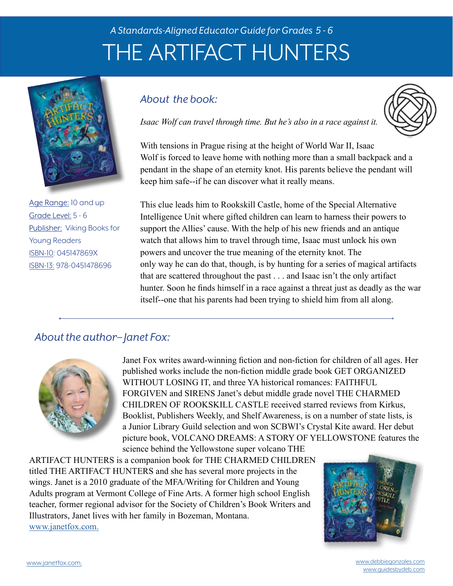# *A Standards-Aligned Educator Guide for Grades 5 - 6* THE ARTIFACT HUNTERS



Age Range: 10 and up Grade Level: 5 - 6 Publisher: Viking Books for Young Readers ISBN-10: 045147869X ISBN-13: 978-0451478696

# *About the book:*



*Isaac Wolf can travel through time. But he's also in a race against it.*

With tensions in Prague rising at the height of World War II, Isaac Wolf is forced to leave home with nothing more than a small backpack and a pendant in the shape of an eternity knot. His parents believe the pendant will keep him safe--if he can discover what it really means.

This clue leads him to Rookskill Castle, home of the Special Alternative Intelligence Unit where gifted children can learn to harness their powers to support the Allies' cause. With the help of his new friends and an antique watch that allows him to travel through time, Isaac must unlock his own powers and uncover the true meaning of the eternity knot. The only way he can do that, though, is by hunting for a series of magical artifacts that are scattered throughout the past . . . and Isaac isn't the only artifact hunter. Soon he finds himself in a race against a threat just as deadly as the war itself--one that his parents had been trying to shield him from all along.

# *About the author– Janet Fox:*



Janet Fox writes award-winning fiction and non-fiction for children of all ages. Her published works include the non-fiction middle grade book GET ORGANIZED WITHOUT LOSING IT, and three YA historical romances: FAITHFUL FORGIVEN and SIRENS Janet's debut middle grade novel THE CHARMED CHILDREN OF ROOKSKILL CASTLE received starred reviews from Kirkus, Booklist, Publishers Weekly, and Shelf Awareness, is on a number of state lists, is a Junior Library Guild selection and won SCBWI's Crystal Kite award. Her debut picture book, VOLCANO DREAMS: A STORY OF YELLOWSTONE features the science behind the Yellowstone super volcano THE

ARTIFACT HUNTERS is a companion book for THE CHARMED CHILDREN titled THE ARTIFACT HUNTERS and she has several more projects in the wings. Janet is a 2010 graduate of the MFA/Writing for Children and Young Adults program at Vermont College of Fine Arts. A former high school English teacher, former regional advisor for the Society of Children's Book Writers and Illustrators, Janet lives with her family in Bozeman, Montana. www.janetfox.com.

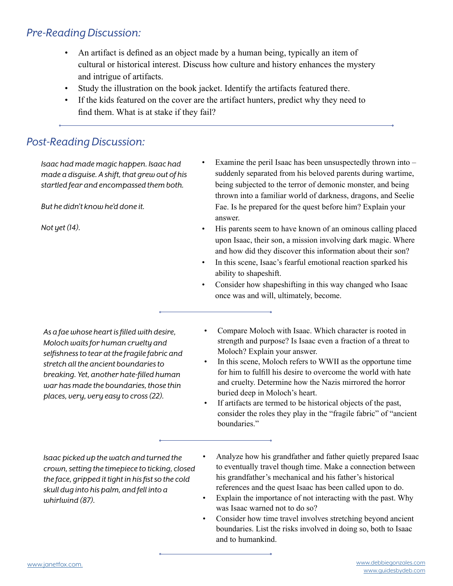# *Pre-Reading Discussion:*

- An artifact is defined as an object made by a human being, typically an item of cultural or historical interest. Discuss how culture and history enhances the mystery and intrigue of artifacts.
- Study the illustration on the book jacket. Identify the artifacts featured there.
- If the kids featured on the cover are the artifact hunters, predict why they need to find them. What is at stake if they fail?

# *Post-Reading Discussion:*

*Isaac had made magic happen. Isaac had made a disguise. A shift, that grew out of his startled fear and encompassed them both.*

*But he didn't know he'd done it.*

*Not yet (14).*

- Examine the peril Isaac has been unsuspectedly thrown into  $$ suddenly separated from his beloved parents during wartime, being subjected to the terror of demonic monster, and being thrown into a familiar world of darkness, dragons, and Seelie Fae. Is he prepared for the quest before him? Explain your answer.
- His parents seem to have known of an ominous calling placed upon Isaac, their son, a mission involving dark magic. Where and how did they discover this information about their son?
- In this scene, Isaac's fearful emotional reaction sparked his ability to shapeshift.
- Consider how shapeshifting in this way changed who Isaac once was and will, ultimately, become.

*As a fae whose heart is filled with desire, Moloch waits for human cruelty and selfishness to tear at the fragile fabric and stretch all the ancient boundaries to breaking. Yet, another hate-filled human war has made the boundaries, those thin places, very, very easy to cross (22).*

- Compare Moloch with Isaac. Which character is rooted in strength and purpose? Is Isaac even a fraction of a threat to Moloch? Explain your answer.
- In this scene, Moloch refers to WWII as the opportune time for him to fulfill his desire to overcome the world with hate and cruelty. Determine how the Nazis mirrored the horror buried deep in Moloch's heart.
- If artifacts are termed to be historical objects of the past, consider the roles they play in the "fragile fabric" of "ancient boundaries."

*Isaac picked up the watch and turned the crown, setting the timepiece to ticking, closed the face, gripped it tight in his fist so the cold skull dug into his palm, and fell into a whirlwind (87).*

- Analyze how his grandfather and father quietly prepared Isaac to eventually travel though time. Make a connection between his grandfather's mechanical and his father's historical references and the quest Isaac has been called upon to do.
- Explain the importance of not interacting with the past. Why was Isaac warned not to do so?
- Consider how time travel involves stretching beyond ancient boundaries. List the risks involved in doing so, both to Isaac and to humankind.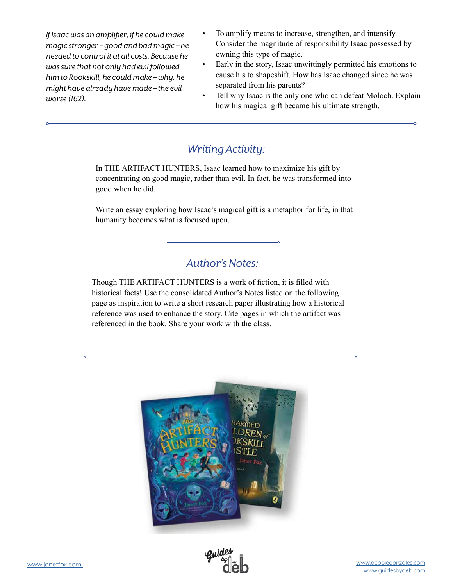*If Isaac was an amplifier, if he could make magic stronger – good and bad magic – he needed to control it at all costs. Because he was sure that not only had evil followed him to Rookskill, he could make – why, he might have already have made – the evil worse (162).*

- To amplify means to increase, strengthen, and intensify. Consider the magnitude of responsibility Isaac possessed by owning this type of magic.
- Early in the story, Isaac unwittingly permitted his emotions to cause his to shapeshift. How has Isaac changed since he was separated from his parents?
- Tell why Isaac is the only one who can defeat Moloch. Explain how his magical gift became his ultimate strength.

# *Writing Activity:*

In THE ARTIFACT HUNTERS, Isaac learned how to maximize his gift by concentrating on good magic, rather than evil. In fact, he was transformed into good when he did.

Write an essay exploring how Isaac's magical gift is a metaphor for life, in that humanity becomes what is focused upon.

# *Author's Notes:*

Though THE ARTIFACT HUNTERS is a work of fiction, it is filled with historical facts! Use the consolidated Author's Notes listed on the following page as inspiration to write a short research paper illustrating how a historical reference was used to enhance the story. Cite pages in which the artifact was referenced in the book. Share your work with the class.